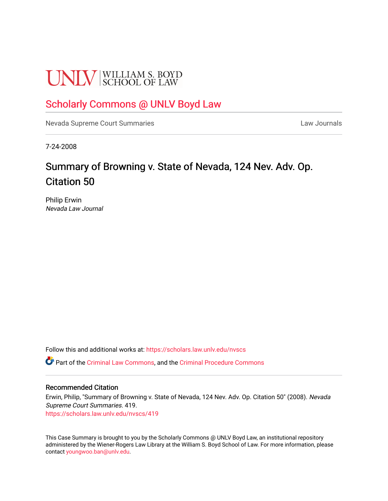# **UNLV** SCHOOL OF LAW

# [Scholarly Commons @ UNLV Boyd Law](https://scholars.law.unlv.edu/)

[Nevada Supreme Court Summaries](https://scholars.law.unlv.edu/nvscs) **Law Journals** Law Journals

7-24-2008

# Summary of Browning v. State of Nevada, 124 Nev. Adv. Op. Citation 50

Philip Erwin Nevada Law Journal

Follow this and additional works at: [https://scholars.law.unlv.edu/nvscs](https://scholars.law.unlv.edu/nvscs?utm_source=scholars.law.unlv.edu%2Fnvscs%2F419&utm_medium=PDF&utm_campaign=PDFCoverPages)

Part of the [Criminal Law Commons,](http://network.bepress.com/hgg/discipline/912?utm_source=scholars.law.unlv.edu%2Fnvscs%2F419&utm_medium=PDF&utm_campaign=PDFCoverPages) and the [Criminal Procedure Commons](http://network.bepress.com/hgg/discipline/1073?utm_source=scholars.law.unlv.edu%2Fnvscs%2F419&utm_medium=PDF&utm_campaign=PDFCoverPages)

#### Recommended Citation

Erwin, Philip, "Summary of Browning v. State of Nevada, 124 Nev. Adv. Op. Citation 50" (2008). Nevada Supreme Court Summaries. 419. [https://scholars.law.unlv.edu/nvscs/419](https://scholars.law.unlv.edu/nvscs/419?utm_source=scholars.law.unlv.edu%2Fnvscs%2F419&utm_medium=PDF&utm_campaign=PDFCoverPages)

This Case Summary is brought to you by the Scholarly Commons @ UNLV Boyd Law, an institutional repository administered by the Wiener-Rogers Law Library at the William S. Boyd School of Law. For more information, please contact [youngwoo.ban@unlv.edu](mailto:youngwoo.ban@unlv.edu).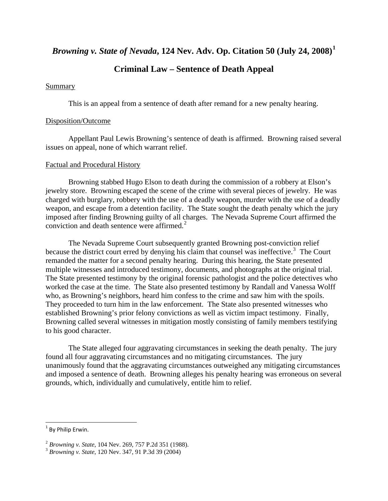*Browning v. State of Nevada***, 124 Nev. Adv. Op. Citation 50 (July 24, 2008)[1](#page-1-0)**

# **Criminal Law – Sentence of Death Appeal**

#### Summary

This is an appeal from a sentence of death after remand for a new penalty hearing.

#### Disposition/Outcome

 Appellant Paul Lewis Browning's sentence of death is affirmed. Browning raised several issues on appeal, none of which warrant relief.

#### Factual and Procedural History

 Browning stabbed Hugo Elson to death during the commission of a robbery at Elson's jewelry store. Browning escaped the scene of the crime with several pieces of jewelry. He was charged with burglary, robbery with the use of a deadly weapon, murder with the use of a deadly weapon, and escape from a detention facility. The State sought the death penalty which the jury imposed after finding Browning guilty of all charges. The Nevada Supreme Court affirmed the conviction and death sentence were affirmed. $2<sup>2</sup>$  $2<sup>2</sup>$ 

 The Nevada Supreme Court subsequently granted Browning post-conviction relief because the district court erred by denying his claim that counsel was ineffective.<sup>[3](#page-1-2)</sup> The Court remanded the matter for a second penalty hearing. During this hearing, the State presented multiple witnesses and introduced testimony, documents, and photographs at the original trial. The State presented testimony by the original forensic pathologist and the police detectives who worked the case at the time. The State also presented testimony by Randall and Vanessa Wolff who, as Browning's neighbors, heard him confess to the crime and saw him with the spoils. They proceeded to turn him in the law enforcement. The State also presented witnesses who established Browning's prior felony convictions as well as victim impact testimony. Finally, Browning called several witnesses in mitigation mostly consisting of family members testifying to his good character.

 The State alleged four aggravating circumstances in seeking the death penalty. The jury found all four aggravating circumstances and no mitigating circumstances. The jury unanimously found that the aggravating circumstances outweighed any mitigating circumstances and imposed a sentence of death. Browning alleges his penalty hearing was erroneous on several grounds, which, individually and cumulatively, entitle him to relief.

<span id="page-1-0"></span> $1$  By Philip Erwin.

<span id="page-1-1"></span><sup>2</sup> *Browning v. State*, 104 Nev. 269, 757 P.2d 351 (1988). 3 *Browning v. State*, 120 Nev. 347, 91 P.3d 39 (2004)

<span id="page-1-2"></span>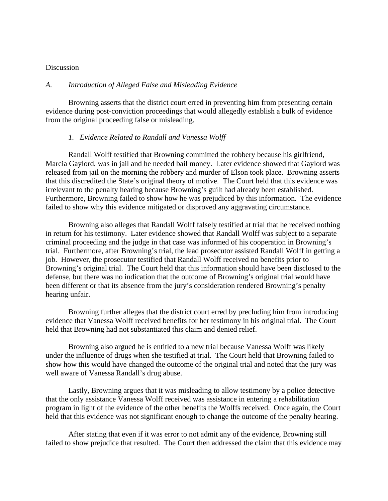#### Discussion

#### *A. Introduction of Alleged False and Misleading Evidence*

 Browning asserts that the district court erred in preventing him from presenting certain evidence during post-conviction proceedings that would allegedly establish a bulk of evidence from the original proceeding false or misleading.

#### *1. Evidence Related to Randall and Vanessa Wolff*

Randall Wolff testified that Browning committed the robbery because his girlfriend, Marcia Gaylord, was in jail and he needed bail money. Later evidence showed that Gaylord was released from jail on the morning the robbery and murder of Elson took place. Browning asserts that this discredited the State's original theory of motive. The Court held that this evidence was irrelevant to the penalty hearing because Browning's guilt had already been established. Furthermore, Browning failed to show how he was prejudiced by this information. The evidence failed to show why this evidence mitigated or disproved any aggravating circumstance.

Browning also alleges that Randall Wolff falsely testified at trial that he received nothing in return for his testimony. Later evidence showed that Randall Wolff was subject to a separate criminal proceeding and the judge in that case was informed of his cooperation in Browning's trial. Furthermore, after Browning's trial, the lead prosecutor assisted Randall Wolff in getting a job. However, the prosecutor testified that Randall Wolff received no benefits prior to Browning's original trial. The Court held that this information should have been disclosed to the defense, but there was no indication that the outcome of Browning's original trial would have been different or that its absence from the jury's consideration rendered Browning's penalty hearing unfair.

Browning further alleges that the district court erred by precluding him from introducing evidence that Vanessa Wolff received benefits for her testimony in his original trial. The Court held that Browning had not substantiated this claim and denied relief.

Browning also argued he is entitled to a new trial because Vanessa Wolff was likely under the influence of drugs when she testified at trial. The Court held that Browning failed to show how this would have changed the outcome of the original trial and noted that the jury was well aware of Vanessa Randall's drug abuse.

Lastly, Browning argues that it was misleading to allow testimony by a police detective that the only assistance Vanessa Wolff received was assistance in entering a rehabilitation program in light of the evidence of the other benefits the Wolffs received. Once again, the Court held that this evidence was not significant enough to change the outcome of the penalty hearing.

After stating that even if it was error to not admit any of the evidence, Browning still failed to show prejudice that resulted. The Court then addressed the claim that this evidence may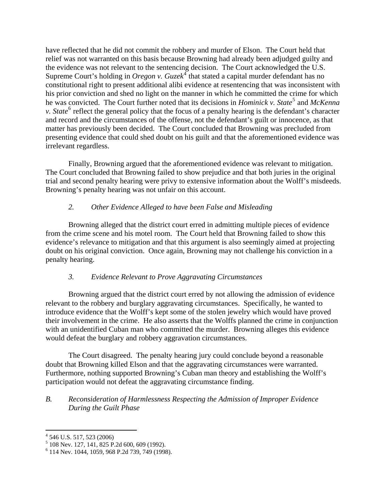have reflected that he did not commit the robbery and murder of Elson. The Court held that relief was not warranted on this basis because Browning had already been adjudged guilty and the evidence was not relevant to the sentencing decision. The Court acknowledged the U.S. Supreme Court's holding in *Oregon v. Guzek*<sup>[4](#page-3-0)</sup> that stated a capital murder defendant has no constitutional right to present additional alibi evidence at resentencing that was inconsistent with his prior conviction and shed no light on the manner in which he committed the crime for which he was convicted. The Court further noted that its decisions in *Hominick v. State*<sup>[5](#page-3-1)</sup> and *McKenna v*. *State*<sup>[6](#page-3-2)</sup> reflect the general policy that the focus of a penalty hearing is the defendant's character and record and the circumstances of the offense, not the defendant's guilt or innocence, as that matter has previously been decided. The Court concluded that Browning was precluded from presenting evidence that could shed doubt on his guilt and that the aforementioned evidence was irrelevant regardless.

Finally, Browning argued that the aforementioned evidence was relevant to mitigation. The Court concluded that Browning failed to show prejudice and that both juries in the original trial and second penalty hearing were privy to extensive information about the Wolff's misdeeds. Browning's penalty hearing was not unfair on this account.

#### *2. Other Evidence Alleged to have been False and Misleading*

Browning alleged that the district court erred in admitting multiple pieces of evidence from the crime scene and his motel room. The Court held that Browning failed to show this evidence's relevance to mitigation and that this argument is also seemingly aimed at projecting doubt on his original conviction. Once again, Browning may not challenge his conviction in a penalty hearing.

#### *3. Evidence Relevant to Prove Aggravating Circumstances*

Browning argued that the district court erred by not allowing the admission of evidence relevant to the robbery and burglary aggravating circumstances. Specifically, he wanted to introduce evidence that the Wolff's kept some of the stolen jewelry which would have proved their involvement in the crime. He also asserts that the Wolffs planned the crime in conjunction with an unidentified Cuban man who committed the murder. Browning alleges this evidence would defeat the burglary and robbery aggravation circumstances.

The Court disagreed. The penalty hearing jury could conclude beyond a reasonable doubt that Browning killed Elson and that the aggravating circumstances were warranted. Furthermore, nothing supported Browning's Cuban man theory and establishing the Wolff's participation would not defeat the aggravating circumstance finding.

#### *B. Reconsideration of Harmlessness Respecting the Admission of Improper Evidence During the Guilt Phase*

<span id="page-3-0"></span>

 4 546 U.S. 517, 523 (2006) 5 108 Nev. 127, 141, 825 P.2d 600, 609 (1992).

<span id="page-3-2"></span><span id="page-3-1"></span><sup>6</sup> 114 Nev. 1044, 1059, 968 P.2d 739, 749 (1998).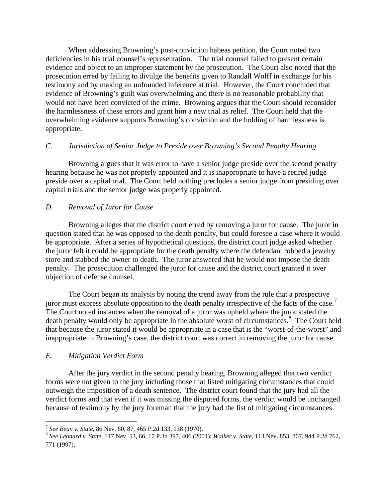When addressing Browning's post-conviction habeas petition, the Court noted two deficiencies in his trial counsel's representation. The trial counsel failed to present certain evidence and object to an improper statement by the prosecution. The Court also noted that the prosecution erred by failing to divulge the benefits given to Randall Wolff in exchange for his testimony and by making an unfounded inference at trial. However, the Court concluded that evidence of Browning's guilt was overwhelming and there is no reasonable probability that would not have been convicted of the crime. Browning argues that the Court should reconsider the harmlessness of these errors and grant him a new trial as relief. The Court held that the overwhelming evidence supports Browning's conviction and the holding of harmlessness is appropriate.

#### *C. Jurisdiction of Senior Judge to Preside over Browning's Second Penalty Hearing*

 Browning argues that it was error to have a senior judge preside over the second penalty hearing because he was not properly appointed and it is inappropriate to have a retired judge preside over a capital trial. The Court held nothing precludes a senior judge from presiding over capital trials and the senior judge was properly appointed.

# *D. Removal of Juror for Cause*

 Browning alleges that the district court erred by removing a juror for cause. The juror in question stated that he was opposed to the death penalty, but could foresee a case where it would be appropriate. After a series of hypothetical questions, the district court judge asked whether the juror felt it could be appropriate for the death penalty where the defendant robbed a jewelry store and stabbed the owner to death. The juror answered that he would not impose the death penalty. The prosecution challenged the juror for cause and the district court granted it over objection of defense counsel.

 The Court began its analysis by noting the trend away from the rule that a prospective juror must express absolute opposition to the death penalty irrespective of the facts of the case.<sup>[7](#page-4-0)</sup> The Court noted instances when the removal of a juror was upheld where the juror stated the death penalty would only be appropriate in the absolute worst of circumstances.<sup>[8](#page-4-1)</sup> The Court held that because the juror stated it would be appropriate in a case that is the "worst-of-the-worst" and inappropriate in Browning's case, the district court was correct in removing the juror for cause.

# *E. Mitigation Verdict Form*

 After the jury verdict in the second penalty hearing, Browning alleged that two verdict forms were not given to the jury including those that listed mitigating circumstances that could outweigh the imposition of a death sentence. The district court found that the jury had all the verdict forms and that even if it was missing the disputed forms, the verdict would be unchanged because of testimony by the jury foreman that the jury had the list of mitigating circumstances.

<span id="page-4-0"></span><sup>&</sup>lt;sup>7</sup> See Bean v. State, 86 Nev. 80, 87, 465 P.2d 133, 138 (1970).

<span id="page-4-1"></span><sup>7</sup> *See Bean v. State*, 86 Nev. 80, 87, 465 P.2d 133, 138 (1970). 8 *See Leonard v. State*, 117 Nev. 53, 66, 17 P.3d 397, 406 (2001); *Walker v. State*, 113 Nev. 853, 867, 944 P.2d 762, 771 (1997).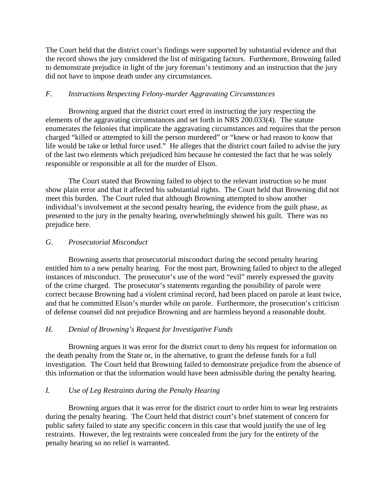The Court held that the district court's findings were supported by substantial evidence and that the record shows the jury considered the list of mitigating factors. Furthermore, Browning failed to demonstrate prejudice in light of the jury foreman's testimony and an instruction that the jury did not have to impose death under any circumstances.

### *F. Instructions Respecting Felony-murder Aggravating Circumstances*

Browning argued that the district court erred in instructing the jury respecting the elements of the aggravating circumstances and set forth in NRS 200.033(4). The statute enumerates the felonies that implicate the aggravating circumstances and requires that the person charged "killed or attempted to kill the person murdered" or "knew or had reason to know that life would be take or lethal force used." He alleges that the district court failed to advise the jury of the last two elements which prejudiced him because he contested the fact that he was solely responsible or responsible at all for the murder of Elson.

 The Court stated that Browning failed to object to the relevant instruction so he must show plain error and that it affected his substantial rights. The Court held that Browning did not meet this burden. The Court ruled that although Browning attempted to show another individual's involvement at the second penalty hearing, the evidence from the guilt phase, as presented to the jury in the penalty hearing, overwhelmingly showed his guilt. There was no prejudice here.

#### *G. Prosecutorial Misconduct*

 Browning asserts that prosecutorial misconduct during the second penalty hearing entitled him to a new penalty hearing. For the most part, Browning failed to object to the alleged instances of misconduct. The prosecutor's use of the word "evil" merely expressed the gravity of the crime charged. The prosecutor's statements regarding the possibility of parole were correct because Browning had a violent criminal record, had been placed on parole at least twice, and that he committed Elson's murder while on parole. Furthermore, the prosecution's criticism of defense counsel did not prejudice Browning and are harmless beyond a reasonable doubt.

# *H. Denial of Browning's Request for Investigative Funds*

 Browning argues it was error for the district court to deny his request for information on the death penalty from the State or, in the alternative, to grant the defense funds for a full investigation. The Court held that Browning failed to demonstrate prejudice from the absence of this information or that the information would have been admissible during the penalty hearing.

# *I. Use of Leg Restraints during the Penalty Hearing*

 Browning argues that it was error for the district court to order him to wear leg restraints during the penalty hearing. The Court held that district court's brief statement of concern for public safety failed to state any specific concern in this case that would justify the use of leg restraints. However, the leg restraints were concealed from the jury for the entirety of the penalty hearing so no relief is warranted.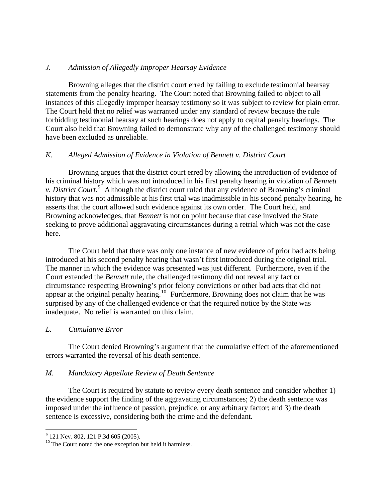#### *J. Admission of Allegedly Improper Hearsay Evidence*

 Browning alleges that the district court erred by failing to exclude testimonial hearsay statements from the penalty hearing. The Court noted that Browning failed to object to all instances of this allegedly improper hearsay testimony so it was subject to review for plain error. The Court held that no relief was warranted under any standard of review because the rule forbidding testimonial hearsay at such hearings does not apply to capital penalty hearings. The Court also held that Browning failed to demonstrate why any of the challenged testimony should have been excluded as unreliable.

#### *K. Alleged Admission of Evidence in Violation of Bennett v. District Court*

 Browning argues that the district court erred by allowing the introduction of evidence of his criminal history which was not introduced in his first penalty hearing in violation of *Bennett v. District Court*. [9](#page-6-0) Although the district court ruled that any evidence of Browning's criminal history that was not admissible at his first trial was inadmissible in his second penalty hearing, he asserts that the court allowed such evidence against its own order. The Court held, and Browning acknowledges, that *Bennett* is not on point because that case involved the State seeking to prove additional aggravating circumstances during a retrial which was not the case here.

The Court held that there was only one instance of new evidence of prior bad acts being introduced at his second penalty hearing that wasn't first introduced during the original trial. The manner in which the evidence was presented was just different. Furthermore, even if the Court extended the *Bennett* rule, the challenged testimony did not reveal any fact or circumstance respecting Browning's prior felony convictions or other bad acts that did not appear at the original penalty hearing.<sup>[10](#page-6-1)</sup> Furthermore, Browning does not claim that he was surprised by any of the challenged evidence or that the required notice by the State was inadequate. No relief is warranted on this claim.

#### *L. Cumulative Error*

 The Court denied Browning's argument that the cumulative effect of the aforementioned errors warranted the reversal of his death sentence.

#### *M. Mandatory Appellate Review of Death Sentence*

 The Court is required by statute to review every death sentence and consider whether 1) the evidence support the finding of the aggravating circumstances; 2) the death sentence was imposed under the influence of passion, prejudice, or any arbitrary factor; and 3) the death sentence is excessive, considering both the crime and the defendant.

 <sup>9</sup> 121 Nev. 802, 121 P.3d 605 (2005).

<span id="page-6-1"></span><span id="page-6-0"></span><sup>&</sup>lt;sup>10</sup> The Court noted the one exception but held it harmless.